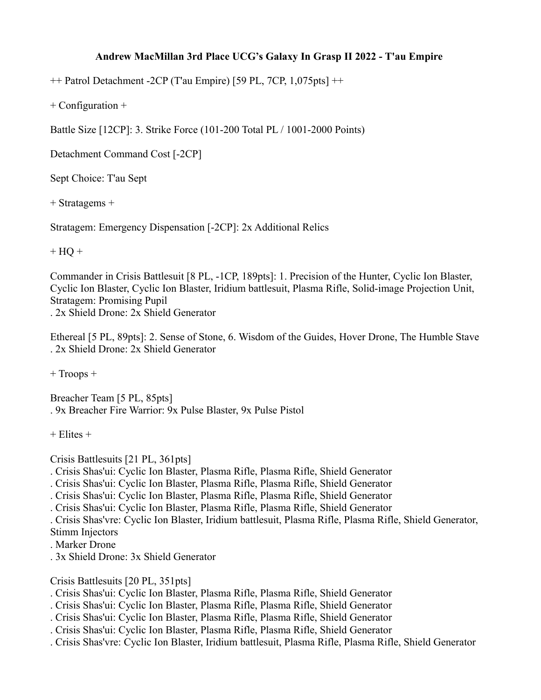## **Andrew MacMillan 3rd Place UCG's Galaxy In Grasp II 2022 - T'au Empire**

++ Patrol Detachment -2CP (T'au Empire) [59 PL, 7CP, 1,075pts] ++

+ Configuration +

Battle Size [12CP]: 3. Strike Force (101-200 Total PL / 1001-2000 Points)

Detachment Command Cost [-2CP]

Sept Choice: T'au Sept

+ Stratagems +

Stratagem: Emergency Dispensation [-2CP]: 2x Additional Relics

 $+ HO +$ 

Commander in Crisis Battlesuit [8 PL, -1CP, 189pts]: 1. Precision of the Hunter, Cyclic Ion Blaster, Cyclic Ion Blaster, Cyclic Ion Blaster, Iridium battlesuit, Plasma Rifle, Solid-image Projection Unit, Stratagem: Promising Pupil . 2x Shield Drone: 2x Shield Generator

Ethereal [5 PL, 89pts]: 2. Sense of Stone, 6. Wisdom of the Guides, Hover Drone, The Humble Stave . 2x Shield Drone: 2x Shield Generator

+ Troops +

Breacher Team [5 PL, 85pts] . 9x Breacher Fire Warrior: 9x Pulse Blaster, 9x Pulse Pistol

 $+$  Elites  $+$ 

Crisis Battlesuits [21 PL, 361pts]

. Crisis Shas'ui: Cyclic Ion Blaster, Plasma Rifle, Plasma Rifle, Shield Generator

. Crisis Shas'ui: Cyclic Ion Blaster, Plasma Rifle, Plasma Rifle, Shield Generator

. Crisis Shas'ui: Cyclic Ion Blaster, Plasma Rifle, Plasma Rifle, Shield Generator

. Crisis Shas'ui: Cyclic Ion Blaster, Plasma Rifle, Plasma Rifle, Shield Generator

. Crisis Shas'vre: Cyclic Ion Blaster, Iridium battlesuit, Plasma Rifle, Plasma Rifle, Shield Generator, Stimm Injectors

- . Marker Drone
- . 3x Shield Drone: 3x Shield Generator

Crisis Battlesuits [20 PL, 351pts]

. Crisis Shas'ui: Cyclic Ion Blaster, Plasma Rifle, Plasma Rifle, Shield Generator

. Crisis Shas'ui: Cyclic Ion Blaster, Plasma Rifle, Plasma Rifle, Shield Generator

. Crisis Shas'ui: Cyclic Ion Blaster, Plasma Rifle, Plasma Rifle, Shield Generator

. Crisis Shas'ui: Cyclic Ion Blaster, Plasma Rifle, Plasma Rifle, Shield Generator

. Crisis Shas'vre: Cyclic Ion Blaster, Iridium battlesuit, Plasma Rifle, Plasma Rifle, Shield Generator